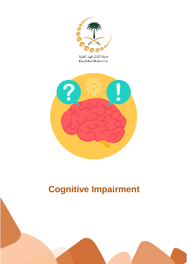

مدينة الملك فهد الطبية King Fahad Medical City



# **Cognitive Impairment**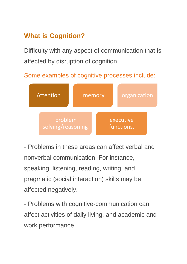## **What is Cognition?**

Difficulty with any aspect of communication that is affected by disruption of cognition.

Some examples of cognitive processes include:



- Problems in these areas can affect verbal and nonverbal communication. For instance, speaking, listening, reading, writing, and pragmatic (social interaction) skills may be affected negatively.

- Problems with cognitive-communication can affect activities of daily living, and academic and work performance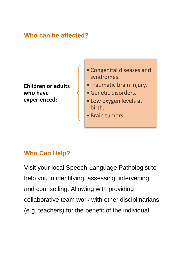#### **Who can be affected?**

**Children or adults who have experienced:**

- Congenital diseases and syndromes.
- Traumatic brain injury.
- •Genetic disorders.
- Low oxygen levels at birth.
- Brain tumors.

### **Who Can Help?**

Visit your local Speech-Language Pathologist to help you in identifying, assessing, intervening, and counselling. Allowing with providing collaborative team work with other disciplinarians (e.g. teachers) for the benefit of the individual.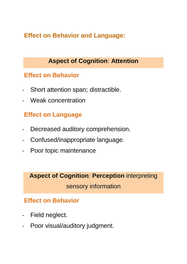**Effect on Behavior and Language:**

### **Aspect of Cognition**: **Attention**

#### **Effect on Behavior**

- Short attention span; distractible.
- Weak concentration

#### **Effect on Language**

- Decreased auditory comprehension.
- Confused/inappropriate language.
- Poor topic maintenance

## **Aspect of Cognition**: **Perception** interpreting sensory information

- Field neglect.
- Poor visual/auditory judgment.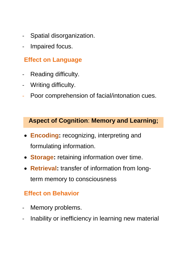- Spatial disorganization.
- Impaired focus.

- Reading difficulty.
- Writing difficulty.
- Poor comprehension of facial/intonation cues.

#### **Aspect of Cognition**: **Memory and Learning;**

- **Encoding:** recognizing, interpreting and formulating information.
- **Storage:** retaining information over time.
- **Retrieval:** transfer of information from longterm memory to consciousness

- Memory problems.
- Inability or inefficiency in learning new material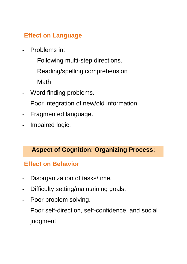- Problems in:
	- Following multi-step directions.
	- Reading/spelling comprehension

**Math** 

- Word finding problems.
- Poor integration of new/old information.
- Fragmented language.
- Impaired logic.

#### **Aspect of Cognition**: **Organizing Process;**

- Disorganization of tasks/time.
- Difficulty setting/maintaining goals.
- Poor problem solving.
- Poor self-direction, self-confidence, and social judgment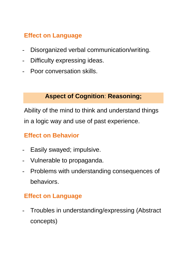- Disorganized verbal communication/writing.
- Difficulty expressing ideas.
- Poor conversation skills.

#### **Aspect of Cognition**: **Reasoning;**

Ability of the mind to think and understand things in a logic way and use of past experience.

### **Effect on Behavior**

- Easily swayed; impulsive.
- Vulnerable to propaganda.
- Problems with understanding consequences of behaviors.

### **Effect on Language**

Troubles in understanding/expressing (Abstract concepts)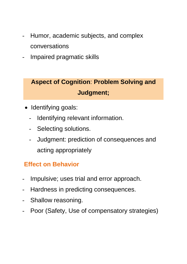- Humor, academic subjects, and complex conversations
- Impaired pragmatic skills

# **Aspect of Cognition**: **Problem Solving and Judgment;**

- Identifving goals:
	- Identifying relevant information.
	- Selecting solutions.
	- Judgment: prediction of consequences and acting appropriately

- Impulsive; uses trial and error approach.
- Hardness in predicting consequences.
- Shallow reasoning.
- Poor (Safety, Use of compensatory strategies)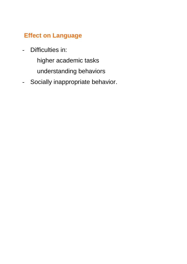- Difficulties in:
	- higher academic tasks
	- understanding behaviors
- Socially inappropriate behavior.